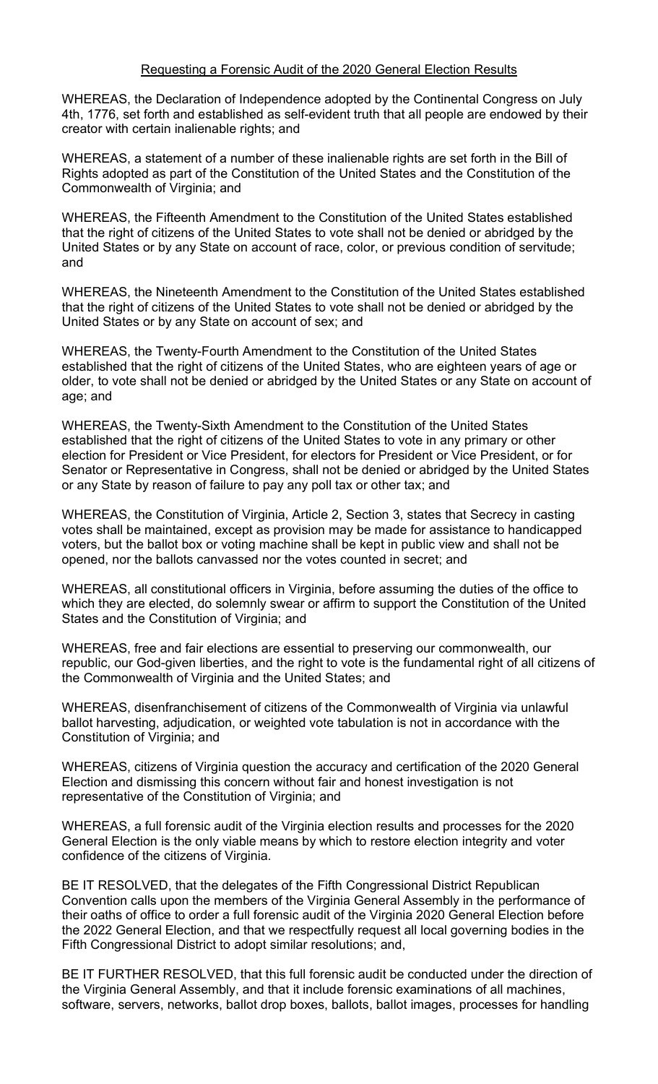## Requesting a Forensic Audit of the 2020 General Election Results

WHEREAS, the Declaration of Independence adopted by the Continental Congress on July 4th, 1776, set forth and established as self-evident truth that all people are endowed by their creator with certain inalienable rights; and

WHEREAS, a statement of a number of these inalienable rights are set forth in the Bill of Rights adopted as part of the Constitution of the United States and the Constitution of the Commonwealth of Virginia; and

WHEREAS, the Fifteenth Amendment to the Constitution of the United States established that the right of citizens of the United States to vote shall not be denied or abridged by the United States or by any State on account of race, color, or previous condition of servitude; and

WHEREAS, the Nineteenth Amendment to the Constitution of the United States established that the right of citizens of the United States to vote shall not be denied or abridged by the United States or by any State on account of sex; and

WHEREAS, the Twenty-Fourth Amendment to the Constitution of the United States established that the right of citizens of the United States, who are eighteen years of age or older, to vote shall not be denied or abridged by the United States or any State on account of age; and

WHEREAS, the Twenty-Sixth Amendment to the Constitution of the United States established that the right of citizens of the United States to vote in any primary or other election for President or Vice President, for electors for President or Vice President, or for Senator or Representative in Congress, shall not be denied or abridged by the United States or any State by reason of failure to pay any poll tax or other tax; and

WHEREAS, the Constitution of Virginia, Article 2, Section 3, states that Secrecy in casting votes shall be maintained, except as provision may be made for assistance to handicapped voters, but the ballot box or voting machine shall be kept in public view and shall not be opened, nor the ballots canvassed nor the votes counted in secret; and

WHEREAS, all constitutional officers in Virginia, before assuming the duties of the office to which they are elected, do solemnly swear or affirm to support the Constitution of the United States and the Constitution of Virginia; and

WHEREAS, free and fair elections are essential to preserving our commonwealth, our republic, our God-given liberties, and the right to vote is the fundamental right of all citizens of the Commonwealth of Virginia and the United States; and

WHEREAS, disenfranchisement of citizens of the Commonwealth of Virginia via unlawful ballot harvesting, adjudication, or weighted vote tabulation is not in accordance with the Constitution of Virginia; and

WHEREAS, citizens of Virginia question the accuracy and certification of the 2020 General Election and dismissing this concern without fair and honest investigation is not representative of the Constitution of Virginia; and

WHEREAS, a full forensic audit of the Virginia election results and processes for the 2020 General Election is the only viable means by which to restore election integrity and voter confidence of the citizens of Virginia.

BE IT RESOLVED, that the delegates of the Fifth Congressional District Republican Convention calls upon the members of the Virginia General Assembly in the performance of their oaths of office to order a full forensic audit of the Virginia 2020 General Election before the 2022 General Election, and that we respectfully request all local governing bodies in the Fifth Congressional District to adopt similar resolutions; and,

BE IT FURTHER RESOLVED, that this full forensic audit be conducted under the direction of the Virginia General Assembly, and that it include forensic examinations of all machines, software, servers, networks, ballot drop boxes, ballots, ballot images, processes for handling